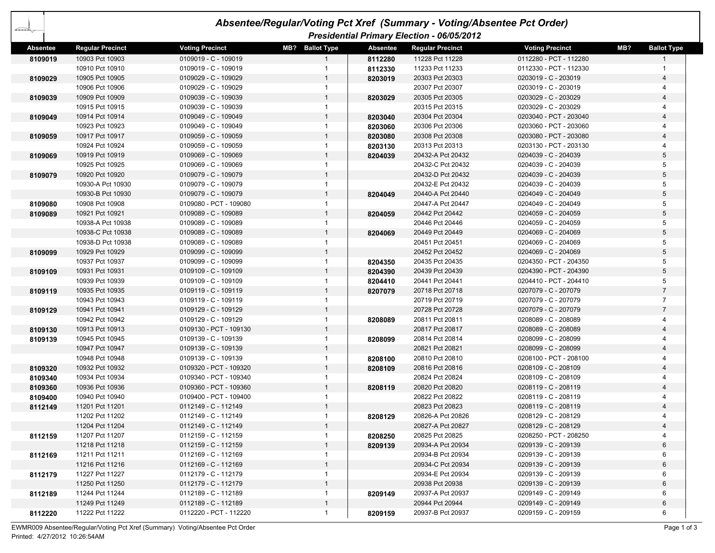| 42              | Absentee/Regular/Voting Pct Xref (Summary - Voting/Absentee Pct Order) |                        |                 |                 |                                            |                        |                           |  |  |
|-----------------|------------------------------------------------------------------------|------------------------|-----------------|-----------------|--------------------------------------------|------------------------|---------------------------|--|--|
|                 |                                                                        |                        |                 |                 | Presidential Primary Election - 06/05/2012 |                        |                           |  |  |
| <b>Absentee</b> | <b>Regular Precinct</b>                                                | <b>Voting Precinct</b> | MB? Ballot Type | <b>Absentee</b> | <b>Regular Precinct</b>                    | <b>Voting Precinct</b> | MB?<br><b>Ballot Type</b> |  |  |
| 8109019         | 10903 Pct 10903                                                        | 0109019 - C - 109019   |                 | 8112280         | 11228 Pct 11228                            | 0112280 - PCT - 112280 | $\mathbf{1}$              |  |  |
|                 | 10910 Pct 10910                                                        | 0109019 - C - 109019   | -1              | 8112330         | 11233 Pct 11233                            | 0112330 - PCT - 112330 |                           |  |  |
| 8109029         | 10905 Pct 10905                                                        | 0109029 - C - 109029   | $\mathbf{1}$    | 8203019         | 20303 Pct 20303                            | 0203019 - C - 203019   | 4                         |  |  |
|                 | 10906 Pct 10906                                                        | 0109029 - C - 109029   | $\mathbf{1}$    |                 | 20307 Pct 20307                            | 0203019 - C - 203019   | 4                         |  |  |
| 8109039         | 10909 Pct 10909                                                        | 0109039 - C - 109039   | $\mathbf{1}$    | 8203029         | 20305 Pct 20305                            | 0203029 - C - 203029   | $\overline{\mathbf{4}}$   |  |  |
|                 | 10915 Pct 10915                                                        | 0109039 - C - 109039   | $\mathbf{1}$    |                 | 20315 Pct 20315                            | 0203029 - C - 203029   | 4                         |  |  |
| 8109049         | 10914 Pct 10914                                                        | 0109049 - C - 109049   | $\overline{1}$  | 8203040         | 20304 Pct 20304                            | 0203040 - PCT - 203040 | $\overline{\mathbf{4}}$   |  |  |
|                 | 10923 Pct 10923                                                        | 0109049 - C - 109049   | 1               | 8203060         | 20306 Pct 20306                            | 0203060 - PCT - 203060 | 4                         |  |  |
| 8109059         | 10917 Pct 10917                                                        | 0109059 - C - 109059   |                 | 8203080         | 20308 Pct 20308                            | 0203080 - PCT - 203080 | $\overline{4}$            |  |  |
|                 | 10924 Pct 10924                                                        | 0109059 - C - 109059   | $\mathbf{1}$    | 8203130         | 20313 Pct 20313                            | 0203130 - PCT - 203130 | 4                         |  |  |
| 8109069         | 10919 Pct 10919                                                        | 0109069 - C - 109069   | $\mathbf{1}$    | 8204039         | 20432-A Pct 20432                          | 0204039 - C - 204039   | 5                         |  |  |
|                 | 10925 Pct 10925                                                        | 0109069 - C - 109069   | $\mathbf{1}$    |                 | 20432-C Pct 20432                          | 0204039 - C - 204039   | 5                         |  |  |
| 8109079         | 10920 Pct 10920                                                        | 0109079 - C - 109079   | $\mathbf{1}$    |                 | 20432-D Pct 20432                          | 0204039 - C - 204039   | 5                         |  |  |
|                 | 10930-A Pct 10930                                                      | 0109079 - C - 109079   | $\mathbf{1}$    |                 | 20432-E Pct 20432                          | 0204039 - C - 204039   | 5                         |  |  |
|                 | 10930-B Pct 10930                                                      | 0109079 - C - 109079   | $\mathbf{1}$    | 8204049         | 20440-A Pct 20440                          | 0204049 - C - 204049   | 5                         |  |  |
| 8109080         | 10908 Pct 10908                                                        | 0109080 - PCT - 109080 | $\overline{1}$  |                 | 20447-A Pct 20447                          | 0204049 - C - 204049   | 5                         |  |  |
| 8109089         | 10921 Pct 10921                                                        | 0109089 - C - 109089   | $\mathbf{1}$    | 8204059         | 20442 Pct 20442                            | 0204059 - C - 204059   | 5                         |  |  |
|                 | 10938-A Pct 10938                                                      | 0109089 - C - 109089   | $\mathbf{1}$    |                 | 20446 Pct 20446                            | 0204059 - C - 204059   | 5                         |  |  |
|                 | 10938-C Pct 10938                                                      | 0109089 - C - 109089   | $\mathbf{1}$    | 8204069         | 20449 Pct 20449                            | 0204069 - C - 204069   | 5                         |  |  |
|                 | 10938-D Pct 10938                                                      | 0109089 - C - 109089   | 1               |                 | 20451 Pct 20451                            | 0204069 - C - 204069   | 5                         |  |  |
| 8109099         | 10929 Pct 10929                                                        | 0109099 - C - 109099   | $\mathbf{1}$    |                 | 20452 Pct 20452                            | 0204069 - C - 204069   | 5                         |  |  |
|                 | 10937 Pct 10937                                                        | 0109099 - C - 109099   | $\mathbf{1}$    | 8204350         | 20435 Pct 20435                            | 0204350 - PCT - 204350 | 5                         |  |  |
| 8109109         | 10931 Pct 10931                                                        | 0109109 - C - 109109   | 1               | 8204390         | 20439 Pct 20439                            | 0204390 - PCT - 204390 | 5                         |  |  |
|                 | 10939 Pct 10939                                                        | 0109109 - C - 109109   | -1              | 8204410         | 20441 Pct 20441                            | 0204410 - PCT - 204410 | 5                         |  |  |
| 8109119         | 10935 Pct 10935                                                        | 0109119 - C - 109119   | $\mathbf{1}$    | 8207079         | 20718 Pct 20718                            | 0207079 - C - 207079   | $\overline{7}$            |  |  |
|                 | 10943 Pct 10943                                                        | 0109119 - C - 109119   | $\mathbf{1}$    |                 | 20719 Pct 20719                            | 0207079 - C - 207079   | $\overline{7}$            |  |  |
| 8109129         | 10941 Pct 10941                                                        | 0109129 - C - 109129   | $\mathbf{1}$    |                 | 20728 Pct 20728                            | 0207079 - C - 207079   | $\overline{7}$            |  |  |
|                 | 10942 Pct 10942                                                        | 0109129 - C - 109129   | $\mathbf{1}$    | 8208089         | 20811 Pct 20811                            | 0208089 - C - 208089   | 4                         |  |  |
| 8109130         | 10913 Pct 10913                                                        | 0109130 - PCT - 109130 | $\mathbf{1}$    |                 | 20817 Pct 20817                            | 0208089 - C - 208089   | $\overline{4}$            |  |  |
| 8109139         | 10945 Pct 10945                                                        | 0109139 - C - 109139   | $\overline{1}$  | 8208099         | 20814 Pct 20814                            | 0208099 - C - 208099   | 4                         |  |  |
|                 | 10947 Pct 10947                                                        | 0109139 - C - 109139   | $\mathbf{1}$    |                 | 20821 Pct 20821                            | 0208099 - C - 208099   | 4                         |  |  |
|                 | 10948 Pct 10948                                                        | 0109139 - C - 109139   | 1               | 8208100         | 20810 Pct 20810                            | 0208100 - PCT - 208100 | 4                         |  |  |
| 8109320         | 10932 Pct 10932                                                        | 0109320 - PCT - 109320 | $\mathbf{1}$    | 8208109         | 20816 Pct 20816                            | 0208109 - C - 208109   | $\overline{\mathbf{4}}$   |  |  |
| 8109340         | 10934 Pct 10934                                                        | 0109340 - PCT - 109340 | $\mathbf{1}$    |                 | 20824 Pct 20824                            | 0208109 - C - 208109   | 4                         |  |  |
| 8109360         | 10936 Pct 10936                                                        | 0109360 - PCT - 109360 | $\overline{1}$  | 8208119         | 20820 Pct 20820                            | 0208119 - C - 208119   | $\overline{\mathbf{4}}$   |  |  |
| 8109400         | 10940 Pct 10940                                                        | 0109400 - PCT - 109400 | $\overline{1}$  |                 | 20822 Pct 20822                            | 0208119 - C - 208119   | 4                         |  |  |
| 8112149         | 11201 Pct 11201                                                        | 0112149 - C - 112149   | $\mathbf{1}$    |                 | 20823 Pct 20823                            | 0208119 - C - 208119   | 4                         |  |  |
|                 | 11202 Pct 11202                                                        | 0112149 - C - 112149   | $\mathbf{1}$    | 8208129         | 20826-A Pct 20826                          | 0208129 - C - 208129   | 4                         |  |  |
|                 | 11204 Pct 11204                                                        | 0112149 - C - 112149   | $\overline{1}$  |                 | 20827-A Pct 20827                          | 0208129 - C - 208129   | 4                         |  |  |
| 8112159         | 11207 Pct 11207                                                        | 0112159 - C - 112159   | -1              | 8208250         | 20825 Pct 20825                            | 0208250 - PCT - 208250 |                           |  |  |
|                 | 11218 Pct 11218                                                        | 0112159 - C - 112159   | $\mathbf{1}$    | 8209139         | 20934-A Pct 20934                          | 0209139 - C - 209139   | 6                         |  |  |
| 8112169         | 11211 Pct 11211                                                        | 0112169 - C - 112169   | $\mathbf{1}$    |                 | 20934-B Pct 20934                          | 0209139 - C - 209139   | 6                         |  |  |
|                 | 11216 Pct 11216                                                        | 0112169 - C - 112169   | $\overline{1}$  |                 | 20934-C Pct 20934                          | 0209139 - C - 209139   | 6                         |  |  |
| 8112179         | 11227 Pct 11227                                                        | 0112179 - C - 112179   | $\mathbf{1}$    |                 | 20934-E Pct 20934                          | 0209139 - C - 209139   | 6                         |  |  |
|                 | 11250 Pct 11250                                                        | 0112179 - C - 112179   | $\mathbf{1}$    |                 | 20938 Pct 20938                            | 0209139 - C - 209139   | 6                         |  |  |
| 8112189         | 11244 Pct 11244                                                        | 0112189 - C - 112189   | $\mathbf{1}$    | 8209149         | 20937-A Pct 20937                          | 0209149 - C - 209149   | 6                         |  |  |
|                 | 11249 Pct 11249                                                        | 0112189 - C - 112189   | $\mathbf{1}$    |                 | 20944 Pct 20944                            | 0209149 - C - 209149   | 6                         |  |  |
| 8112220         | 11222 Pct 11222                                                        | 0112220 - PCT - 112220 | $\mathbf{1}$    | 8209159         | 20937-B Pct 20937                          | 0209159 - C - 209159   | 6                         |  |  |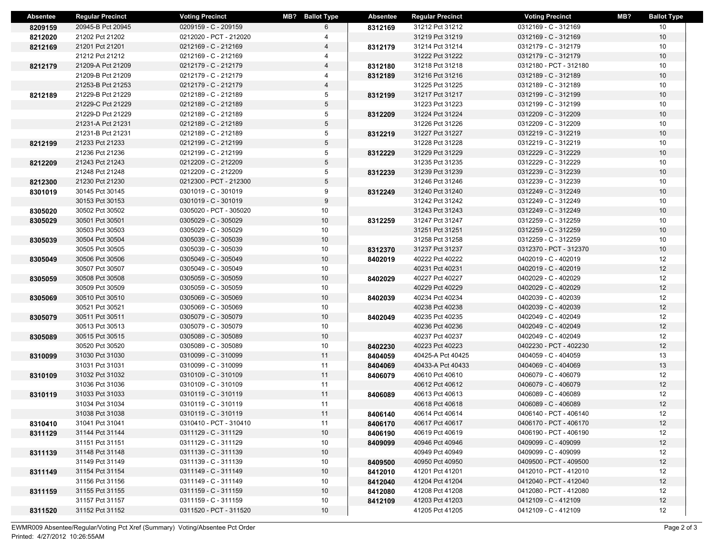| <b>Absentee</b> | <b>Regular Precinct</b>            | <b>Voting Precinct</b>                       | <b>MB?</b> Ballot Type | Absentee | <b>Regular Precinct</b>            | <b>Voting Precinct</b>                       | MB? | <b>Ballot Type</b> |
|-----------------|------------------------------------|----------------------------------------------|------------------------|----------|------------------------------------|----------------------------------------------|-----|--------------------|
| 8209159         | 20945-B Pct 20945                  | 0209159 - C - 209159                         | 6                      | 8312169  | 31212 Pct 31212                    | 0312169 - C - 312169                         |     | 10                 |
| 8212020         | 21202 Pct 21202                    | 0212020 - PCT - 212020                       | 4                      |          | 31219 Pct 31219                    | 0312169 - C - 312169                         |     | 10                 |
| 8212169         | 21201 Pct 21201                    | 0212169 - C - 212169                         | 4                      | 8312179  | 31214 Pct 31214                    | 0312179 - C - 312179                         |     | 10                 |
|                 | 21212 Pct 21212                    | 0212169 - C - 212169                         | 4                      |          | 31222 Pct 31222                    | 0312179 - C - 312179                         |     | 10                 |
| 8212179         | 21209-A Pct 21209                  | 0212179 - C - 212179                         | 4                      | 8312180  | 31218 Pct 31218                    | 0312180 - PCT - 312180                       |     | 10                 |
|                 | 21209-B Pct 21209                  | 0212179 - C - 212179                         | 4                      | 8312189  | 31216 Pct 31216                    | 0312189 - C - 312189                         |     | 10                 |
|                 | 21253-B Pct 21253                  | 0212179 - C - 212179                         | 4                      |          | 31225 Pct 31225                    | 0312189 - C - 312189                         |     | 10                 |
| 8212189         | 21229-B Pct 21229                  | 0212189 - C - 212189                         | 5                      | 8312199  | 31217 Pct 31217                    | 0312199 - C - 312199                         |     | 10                 |
|                 | 21229-C Pct 21229                  | 0212189 - C - 212189                         | 5                      |          | 31223 Pct 31223                    | 0312199 - C - 312199                         |     | 10                 |
|                 | 21229-D Pct 21229                  | 0212189 - C - 212189                         | 5                      | 8312209  | 31224 Pct 31224                    | 0312209 - C - 312209                         |     | 10                 |
|                 | 21231-A Pct 21231                  | 0212189 - C - 212189                         | 5                      |          | 31226 Pct 31226                    | 0312209 - C - 312209                         |     | 10                 |
|                 | 21231-B Pct 21231                  | 0212189 - C - 212189                         | 5                      | 8312219  | 31227 Pct 31227                    | 0312219 - C - 312219                         |     | 10                 |
| 8212199         | 21233 Pct 21233                    | 0212199 - C - 212199                         | 5                      |          | 31228 Pct 31228                    | 0312219 - C - 312219                         |     | 10                 |
|                 | 21236 Pct 21236                    | 0212199 - C - 212199                         | 5                      | 8312229  | 31229 Pct 31229                    | 0312229 - C - 312229                         |     | 10                 |
| 8212209         | 21243 Pct 21243                    | 0212209 - C - 212209                         | 5                      |          | 31235 Pct 31235                    | 0312229 - C - 312229                         |     | 10                 |
|                 | 21248 Pct 21248                    | 0212209 - C - 212209                         | 5                      | 8312239  | 31239 Pct 31239                    | 0312239 - C - 312239                         |     | 10                 |
| 8212300         | 21230 Pct 21230                    | 0212300 - PCT - 212300                       | 5                      |          | 31246 Pct 31246                    | 0312239 - C - 312239                         |     | 10                 |
| 8301019         | 30145 Pct 30145                    | 0301019 - C - 301019                         | 9                      | 8312249  | 31240 Pct 31240                    | 0312249 - C - 312249                         |     | 10                 |
|                 | 30153 Pct 30153                    | 0301019 - C - 301019                         | 9                      |          | 31242 Pct 31242                    | 0312249 - C - 312249                         |     | 10                 |
| 8305020         | 30502 Pct 30502                    | 0305020 - PCT - 305020                       | 10                     |          | 31243 Pct 31243                    | 0312249 - C - 312249                         |     | 10                 |
| 8305029         | 30501 Pct 30501                    | 0305029 - C - 305029                         | 10                     | 8312259  | 31247 Pct 31247                    | 0312259 - C - 312259                         |     | 10                 |
|                 | 30503 Pct 30503                    | 0305029 - C - 305029                         | 10                     |          | 31251 Pct 31251                    | 0312259 - C - 312259                         |     | 10                 |
| 8305039         | 30504 Pct 30504                    | 0305039 - C - 305039                         | 10                     |          | 31258 Pct 31258                    | 0312259 - C - 312259                         |     | 10                 |
|                 | 30505 Pct 30505                    | 0305039 - C - 305039                         | 10                     | 8312370  | 31237 Pct 31237                    | 0312370 - PCT - 312370                       |     | 10                 |
| 8305049         | 30506 Pct 30506                    | 0305049 - C - 305049                         | 10                     | 8402019  | 40222 Pct 40222                    | 0402019 - C - 402019                         |     | 12                 |
|                 | 30507 Pct 30507                    | 0305049 - C - 305049                         | 10                     |          | 40231 Pct 40231                    | 0402019 - C - 402019                         |     | 12                 |
| 8305059         | 30508 Pct 30508                    | 0305059 - C - 305059<br>0305059 - C - 305059 | 10                     | 8402029  | 40227 Pct 40227<br>40229 Pct 40229 | 0402029 - C - 402029                         |     | 12                 |
|                 | 30509 Pct 30509<br>30510 Pct 30510 | 0305069 - C - 305069                         | 10<br>10               |          | 40234 Pct 40234                    | 0402029 - C - 402029<br>0402039 - C - 402039 |     | 12<br>12           |
| 8305069         | 30521 Pct 30521                    | 0305069 - C - 305069                         | 10                     | 8402039  | 40238 Pct 40238                    | 0402039 - C - 402039                         |     | 12                 |
| 8305079         | 30511 Pct 30511                    | 0305079 - C - 305079                         | 10                     | 8402049  | 40235 Pct 40235                    | 0402049 - C - 402049                         |     | 12                 |
|                 | 30513 Pct 30513                    | 0305079 - C - 305079                         | 10                     |          | 40236 Pct 40236                    | 0402049 - C - 402049                         |     | 12                 |
| 8305089         | 30515 Pct 30515                    | 0305089 - C - 305089                         | 10                     |          | 40237 Pct 40237                    | 0402049 - C - 402049                         |     | 12                 |
|                 | 30520 Pct 30520                    | 0305089 - C - 305089                         | 10                     | 8402230  | 40223 Pct 40223                    | 0402230 - PCT - 402230                       |     | 12                 |
| 8310099         | 31030 Pct 31030                    | 0310099 - C - 310099                         | 11                     | 8404059  | 40425-A Pct 40425                  | 0404059 - C - 404059                         |     | 13                 |
|                 | 31031 Pct 31031                    | 0310099 - C - 310099                         | 11                     | 8404069  | 40433-A Pct 40433                  | 0404069 - C - 404069                         |     | 13                 |
| 8310109         | 31032 Pct 31032                    | 0310109 - C - 310109                         | 11                     | 8406079  | 40610 Pct 40610                    | 0406079 - C - 406079                         |     | 12                 |
|                 | 31036 Pct 31036                    | 0310109 - C - 310109                         | 11                     |          | 40612 Pct 40612                    | 0406079 - C - 406079                         |     | 12                 |
| 8310119         | 31033 Pct 31033                    | 0310119 - C - 310119                         | 11                     | 8406089  | 40613 Pct 40613                    | 0406089 - C - 406089                         |     | 12                 |
|                 | 31034 Pct 31034                    | 0310119 - C - 310119                         | 11                     |          | 40618 Pct 40618                    | 0406089 - C - 406089                         |     | 12                 |
|                 | 31038 Pct 31038                    | 0310119 - C - 310119                         | 11                     | 8406140  | 40614 Pct 40614                    | 0406140 - PCT - 406140                       |     | 12                 |
| 8310410         | 31041 Pct 31041                    | 0310410 - PCT - 310410                       | 11                     | 8406170  | 40617 Pct 40617                    | 0406170 - PCT - 406170                       |     | 12                 |
| 8311129         | 31144 Pct 31144                    | 0311129 - C - 311129                         | 10                     | 8406190  | 40619 Pct 40619                    | 0406190 - PCT - 406190                       |     | 12                 |
|                 | 31151 Pct 31151                    | 0311129 - C - 311129                         | 10                     | 8409099  | 40946 Pct 40946                    | 0409099 - C - 409099                         |     | 12                 |
| 8311139         | 31148 Pct 31148                    | 0311139 - C - 311139                         | 10                     |          | 40949 Pct 40949                    | 0409099 - C - 409099                         |     | 12                 |
|                 | 31149 Pct 31149                    | 0311139 - C - 311139                         | 10                     | 8409500  | 40950 Pct 40950                    | 0409500 - PCT - 409500                       |     | 12                 |
| 8311149         | 31154 Pct 31154                    | 0311149 - C - 311149                         | 10                     | 8412010  | 41201 Pct 41201                    | 0412010 - PCT - 412010                       |     | 12                 |
|                 | 31156 Pct 31156                    | 0311149 - C - 311149                         | 10                     | 8412040  | 41204 Pct 41204                    | 0412040 - PCT - 412040                       |     | 12                 |
| 8311159         | 31155 Pct 31155                    | 0311159 - C - 311159                         | 10                     | 8412080  | 41208 Pct 41208                    | 0412080 - PCT - 412080                       |     | 12                 |
|                 | 31157 Pct 31157                    | 0311159 - C - 311159                         | 10                     | 8412109  | 41203 Pct 41203                    | 0412109 - C - 412109                         |     | 12                 |
| 8311520         | 31152 Pct 31152                    | 0311520 - PCT - 311520                       | 10                     |          | 41205 Pct 41205                    | 0412109 - C - 412109                         |     | 12                 |